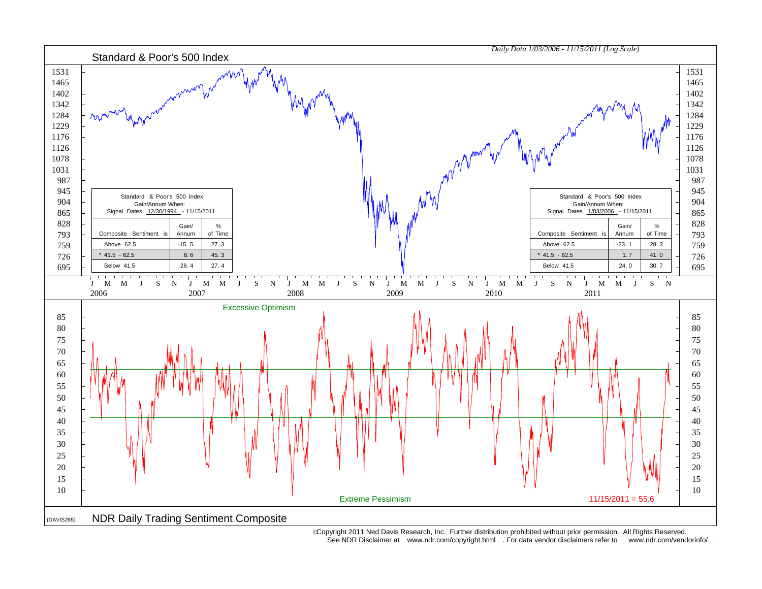

 Copyright 2011 Ned Davis Research, Inc. Further distribution prohibited without prior permission. All Rights Reserved. See NDR Disclaimer at www.ndr.com/copyright.html . For data vendor disclaimers refer to www.ndr.com/vendorinfo/ .